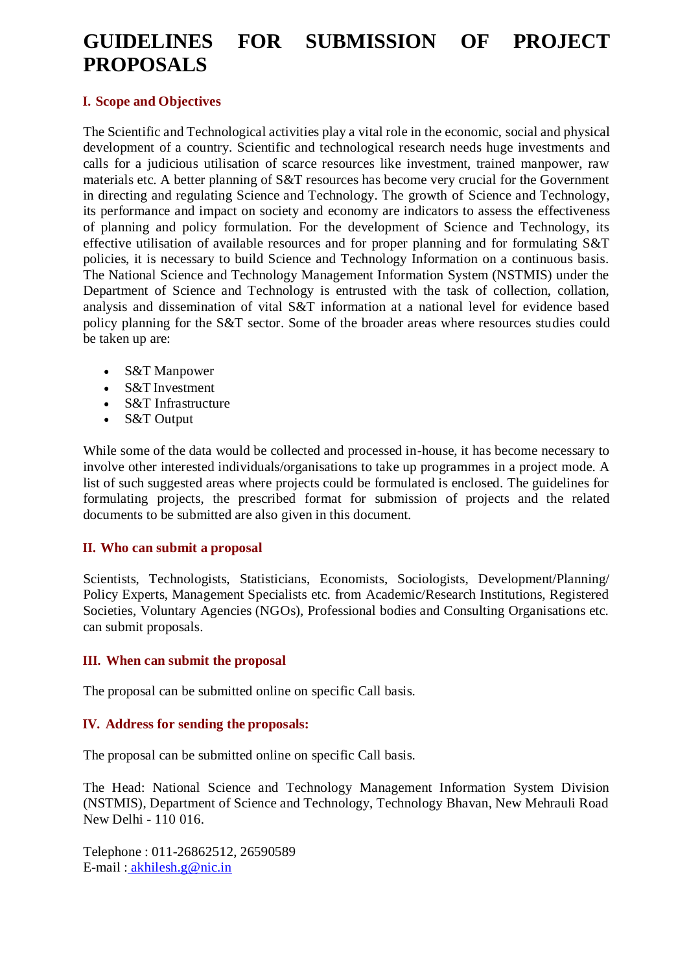# **GUIDELINES FOR SUBMISSION OF PROJECT PROPOSALS**

#### **I. Scope and Objectives**

The Scientific and Technological activities play a vital role in the economic, social and physical development of a country. Scientific and technological research needs huge investments and calls for a judicious utilisation of scarce resources like investment, trained manpower, raw materials etc. A better planning of S&T resources has become very crucial for the Government in directing and regulating Science and Technology. The growth of Science and Technology, its performance and impact on society and economy are indicators to assess the effectiveness of planning and policy formulation. For the development of Science and Technology, its effective utilisation of available resources and for proper planning and for formulating S&T policies, it is necessary to build Science and Technology Information on a continuous basis. The National Science and Technology Management Information System (NSTMIS) under the Department of Science and Technology is entrusted with the task of collection, collation, analysis and dissemination of vital S&T information at a national level for evidence based policy planning for the S&T sector. Some of the broader areas where resources studies could be taken up are:

- S&T Manpower
- S&T Investment
- S&T Infrastructure
- S&T Output

While some of the data would be collected and processed in-house, it has become necessary to involve other interested individuals/organisations to take up programmes in a project mode. A list of such suggested areas where projects could be formulated is enclosed. The guidelines for formulating projects, the prescribed format for submission of projects and the related documents to be submitted are also given in this document.

#### **II. Who can submit a proposal**

Scientists, Technologists, Statisticians, Economists, Sociologists, Development/Planning/ Policy Experts, Management Specialists etc. from Academic/Research Institutions, Registered Societies, Voluntary Agencies (NGOs), Professional bodies and Consulting Organisations etc. can submit proposals.

#### **III. When can submit the proposal**

The proposal can be submitted online on specific Call basis.

## **IV. Address for sending the proposals:**

The proposal can be submitted online on specific Call basis.

The Head: National Science and Technology Management Information System Division (NSTMIS), Department of Science and Technology, Technology Bhavan, New Mehrauli Road New Delhi - 110 016.

Telephone : 011-26862512, 26590589 E-mail : [akhilesh.g@nic.in](mailto:akhilesh.g@nic.in)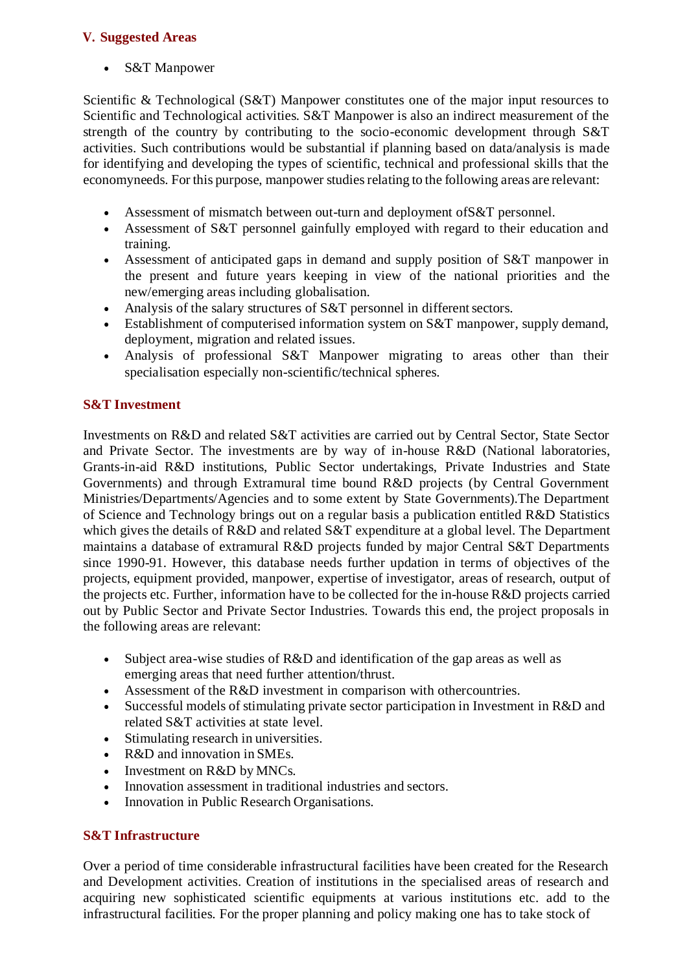## **V. Suggested Areas**

S&T Manpower

Scientific & Technological (S&T) Manpower constitutes one of the major input resources to Scientific and Technological activities. S&T Manpower is also an indirect measurement of the strength of the country by contributing to the socio-economic development through S&T activities. Such contributions would be substantial if planning based on data/analysis is made for identifying and developing the types of scientific, technical and professional skills that the economyneeds. For this purpose, manpower studies relating to the following areas are relevant:

- Assessment of mismatch between out-turn and deployment ofS&T personnel.
- Assessment of S&T personnel gainfully employed with regard to their education and training.
- Assessment of anticipated gaps in demand and supply position of S&T manpower in the present and future years keeping in view of the national priorities and the new/emerging areas including globalisation.
- Analysis of the salary structures of  $S&T$  personnel in different sectors.
- Establishment of computerised information system on S&T manpower, supply demand, deployment, migration and related issues.
- Analysis of professional S&T Manpower migrating to areas other than their specialisation especially non-scientific/technical spheres.

## **S&T Investment**

Investments on R&D and related S&T activities are carried out by Central Sector, State Sector and Private Sector. The investments are by way of in-house R&D (National laboratories, Grants-in-aid R&D institutions, Public Sector undertakings, Private Industries and State Governments) and through Extramural time bound R&D projects (by Central Government Ministries/Departments/Agencies and to some extent by State Governments).The Department of Science and Technology brings out on a regular basis a publication entitled R&D Statistics which gives the details of R&D and related S&T expenditure at a global level. The Department maintains a database of extramural R&D projects funded by major Central S&T Departments since 1990-91. However, this database needs further updation in terms of objectives of the projects, equipment provided, manpower, expertise of investigator, areas of research, output of the projects etc. Further, information have to be collected for the in-house R&D projects carried out by Public Sector and Private Sector Industries. Towards this end, the project proposals in the following areas are relevant:

- Subject area-wise studies of R&D and identification of the gap areas as well as emerging areas that need further attention/thrust.
- Assessment of the R&D investment in comparison with othercountries.
- Successful models of stimulating private sector participation in Investment in R&D and related S&T activities at state level.
- Stimulating research in universities.
- R&D and innovation in SMEs.
- Investment on R&D by MNCs.
- Innovation assessment in traditional industries and sectors.
- Innovation in Public Research Organisations.

#### **S&T Infrastructure**

Over a period of time considerable infrastructural facilities have been created for the Research and Development activities. Creation of institutions in the specialised areas of research and acquiring new sophisticated scientific equipments at various institutions etc. add to the infrastructural facilities. For the proper planning and policy making one has to take stock of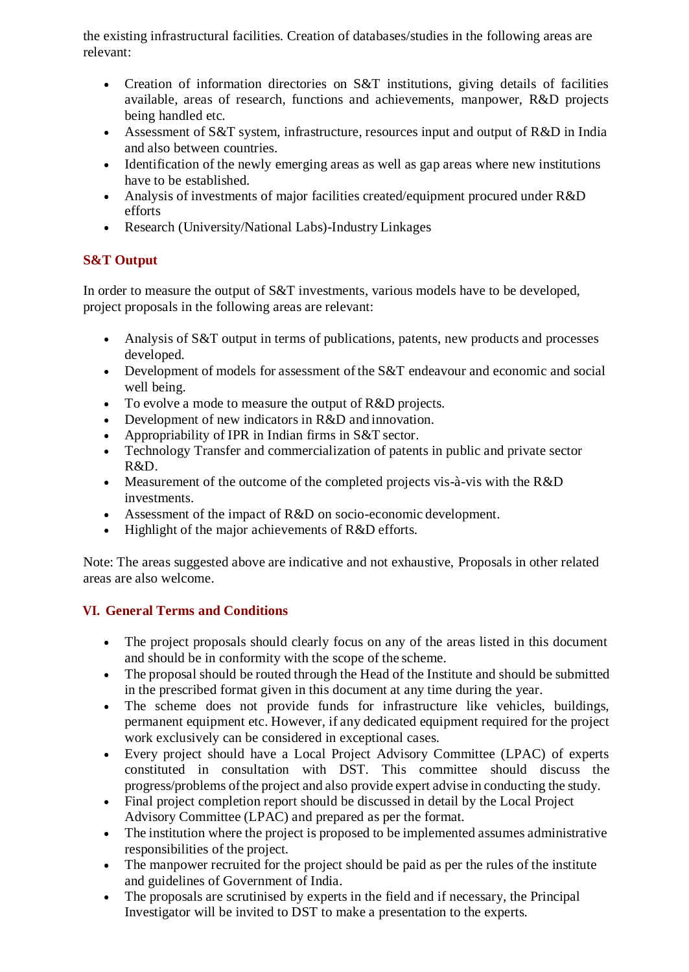the existing infrastructural facilities. Creation of databases/studies in the following areas are relevant:

- Creation of information directories on S&T institutions, giving details of facilities available, areas of research, functions and achievements, manpower, R&D projects being handled etc.
- Assessment of S&T system, infrastructure, resources input and output of R&D in India and also between countries.
- Identification of the newly emerging areas as well as gap areas where new institutions have to be established.
- Analysis of investments of major facilities created/equipment procured under R&D efforts
- Research (University/National Labs)-Industry Linkages

# **S&T Output**

In order to measure the output of S&T investments, various models have to be developed, project proposals in the following areas are relevant:

- Analysis of S&T output in terms of publications, patents, new products and processes developed.
- Development of models for assessment ofthe S&T endeavour and economic and social well being.
- To evolve a mode to measure the output of R&D projects.
- Development of new indicators in R&D and innovation.
- Appropriability of IPR in Indian firms in S&T sector.
- Technology Transfer and commercialization of patents in public and private sector R&D.
- Measurement of the outcome of the completed projects vis-à-vis with the R&D investments.
- Assessment of the impact of R&D on socio-economic development.
- Highlight of the major achievements of R&D efforts.

Note: The areas suggested above are indicative and not exhaustive, Proposals in other related areas are also welcome.

# **VI. General Terms and Conditions**

- The project proposals should clearly focus on any of the areas listed in this document and should be in conformity with the scope of the scheme.
- The proposal should be routed through the Head of the Institute and should be submitted in the prescribed format given in this document at any time during the year.
- The scheme does not provide funds for infrastructure like vehicles, buildings, permanent equipment etc. However, if any dedicated equipment required for the project work exclusively can be considered in exceptional cases.
- Every project should have a Local Project Advisory Committee (LPAC) of experts constituted in consultation with DST. This committee should discuss the progress/problems ofthe project and also provide expert advise in conducting the study.
- Final project completion report should be discussed in detail by the Local Project Advisory Committee (LPAC) and prepared as per the format.
- The institution where the project is proposed to be implemented assumes administrative responsibilities of the project.
- The manpower recruited for the project should be paid as per the rules of the institute and guidelines of Government of India.
- The proposals are scrutinised by experts in the field and if necessary, the Principal Investigator will be invited to DST to make a presentation to the experts.